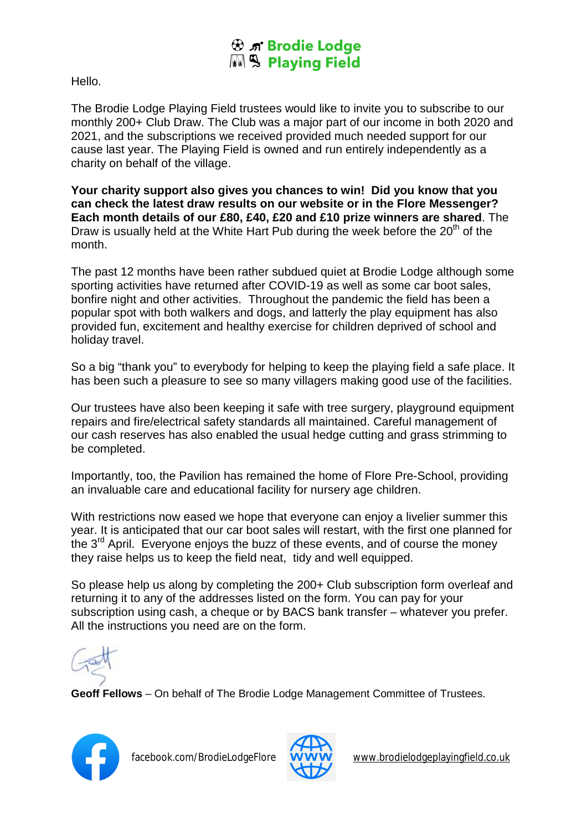## **B** n' Brodie Lodge

Hello.

The Brodie Lodge Playing Field trustees would like to invite you to subscribe to our monthly 200+ Club Draw. The Club was a major part of our income in both 2020 and 2021, and the subscriptions we received provided much needed support for our cause last year. The Playing Field is owned and run entirely independently as a charity on behalf of the village.

**Your charity support also gives you chances to win! Did you know that you can check the latest draw results on our website or in the Flore Messenger? Each month details of our £80, £40, £20 and £10 prize winners are shared**. The Draw is usually held at the White Hart Pub during the week before the  $20<sup>th</sup>$  of the month.

The past 12 months have been rather subdued quiet at Brodie Lodge although some sporting activities have returned after COVID-19 as well as some car boot sales, bonfire night and other activities. Throughout the pandemic the field has been a popular spot with both walkers and dogs, and latterly the play equipment has also provided fun, excitement and healthy exercise for children deprived of school and holiday travel.

So a big "thank you" to everybody for helping to keep the playing field a safe place. It has been such a pleasure to see so many villagers making good use of the facilities.

Our trustees have also been keeping it safe with tree surgery, playground equipment repairs and fire/electrical safety standards all maintained. Careful management of our cash reserves has also enabled the usual hedge cutting and grass strimming to be completed.

Importantly, too, the Pavilion has remained the home of Flore Pre-School, providing an invaluable care and educational facility for nursery age children.

With restrictions now eased we hope that everyone can enjoy a livelier summer this year. It is anticipated that our car boot sales will restart, with the first one planned for the  $3<sup>rd</sup>$  April. Everyone enjoys the buzz of these events, and of course the money they raise helps us to keep the field neat, tidy and well equipped.

So please help us along by completing the 200+ Club subscription form overleaf and returning it to any of the addresses listed on the form. You can pay for your subscription using cash, a cheque or by BACS bank transfer – whatever you prefer. All the instructions you need are on the form.



**Geoff Fellows** – On behalf of The Brodie Lodge Management Committee of Trustees.





facebook.com/BrodieLodgeFlore WWW [www.brodielodgeplayingfield.co.uk](http://www.brodielodgeplayingfield.co.uk)